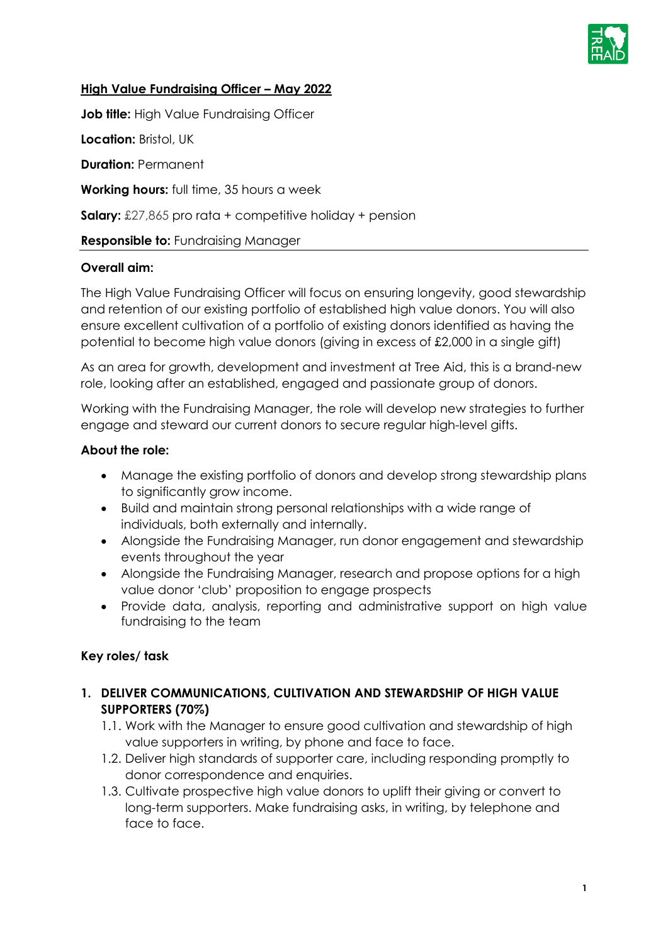

### **High Value Fundraising Officer – May 2022**

**Job title:** High Value Fundraising Officer

**Location:** Bristol, UK

**Duration:** Permanent

**Working hours:** full time, 35 hours a week

**Salary:** £27,865 pro rata + competitive holiday + pension

#### **Responsible to:** Fundraising Manager

#### **Overall aim:**

The High Value Fundraising Officer will focus on ensuring longevity, good stewardship and retention of our existing portfolio of established high value donors. You will also ensure excellent cultivation of a portfolio of existing donors identified as having the potential to become high value donors (giving in excess of £2,000 in a single gift)

As an area for growth, development and investment at Tree Aid, this is a brand-new role, looking after an established, engaged and passionate group of donors.

Working with the Fundraising Manager, the role will develop new strategies to further engage and steward our current donors to secure regular high-level gifts.

#### **About the role:**

- Manage the existing portfolio of donors and develop strong stewardship plans to significantly grow income.
- Build and maintain strong personal relationships with a wide range of individuals, both externally and internally.
- Alongside the Fundraising Manager, run donor engagement and stewardship events throughout the year
- Alongside the Fundraising Manager, research and propose options for a high value donor 'club' proposition to engage prospects
- Provide data, analysis, reporting and administrative support on high value fundraising to the team

### **Key roles/ task**

### **1. DELIVER COMMUNICATIONS, CULTIVATION AND STEWARDSHIP OF HIGH VALUE SUPPORTERS (70%)**

- 1.1. Work with the Manager to ensure good cultivation and stewardship of high value supporters in writing, by phone and face to face.
- 1.2. Deliver high standards of supporter care, including responding promptly to donor correspondence and enquiries.
- 1.3. Cultivate prospective high value donors to uplift their giving or convert to long-term supporters. Make fundraising asks, in writing, by telephone and face to face.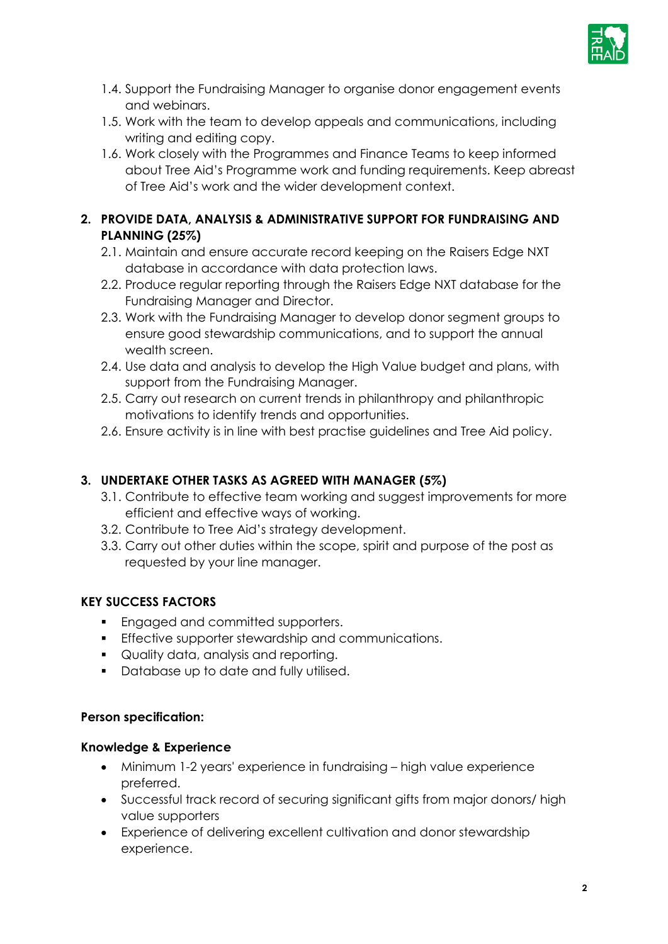

- 1.4. Support the Fundraising Manager to organise donor engagement events and webinars.
- 1.5. Work with the team to develop appeals and communications, including writing and editing copy.
- 1.6. Work closely with the Programmes and Finance Teams to keep informed about Tree Aid's Programme work and funding requirements. Keep abreast of Tree Aid's work and the wider development context.

## **2. PROVIDE DATA, ANALYSIS & ADMINISTRATIVE SUPPORT FOR FUNDRAISING AND PLANNING (25%)**

- 2.1. Maintain and ensure accurate record keeping on the Raisers Edge NXT database in accordance with data protection laws.
- 2.2. Produce regular reporting through the Raisers Edge NXT database for the Fundraising Manager and Director.
- 2.3. Work with the Fundraising Manager to develop donor segment groups to ensure good stewardship communications, and to support the annual wealth screen.
- 2.4. Use data and analysis to develop the High Value budget and plans, with support from the Fundraising Manager.
- 2.5. Carry out research on current trends in philanthropy and philanthropic motivations to identify trends and opportunities.
- 2.6. Ensure activity is in line with best practise guidelines and Tree Aid policy.

# **3. UNDERTAKE OTHER TASKS AS AGREED WITH MANAGER (5%)**

- 3.1. Contribute to effective team working and suggest improvements for more efficient and effective ways of working.
- 3.2. Contribute to Tree Aid's strategy development.
- 3.3. Carry out other duties within the scope, spirit and purpose of the post as requested by your line manager.

# **KEY SUCCESS FACTORS**

- **Engaged and committed supporters.**
- **Effective supporter stewardship and communications.**
- **Quality data, analysis and reporting.**
- **Database up to date and fully utilised.**

## **Person specification:**

## **Knowledge & Experience**

- Minimum 1-2 years' experience in fundraising high value experience preferred.
- Successful track record of securing significant gifts from major donors/ high value supporters
- Experience of delivering excellent cultivation and donor stewardship experience.